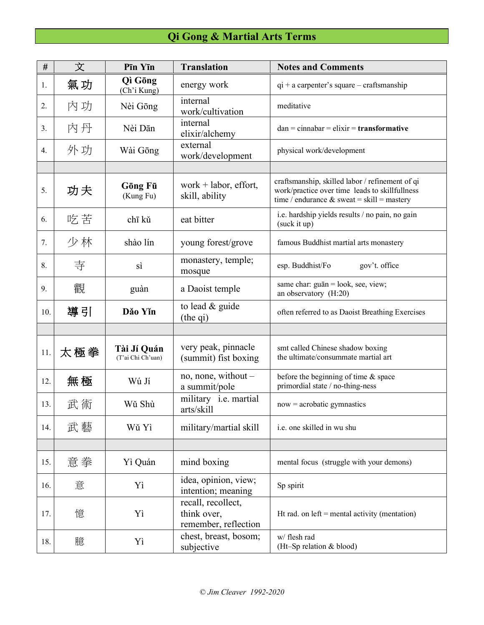## **Qi Gong & Martial Arts Terms**

| #   | 文   | Pīn Yīn                          | <b>Translation</b>                                        | <b>Notes and Comments</b>                                                                                                                          |
|-----|-----|----------------------------------|-----------------------------------------------------------|----------------------------------------------------------------------------------------------------------------------------------------------------|
| 1.  | 氣功  | Qì Gōng<br>(Ch'i Kung)           | energy work                                               | $qi + a$ carpenter's square – craftsmanship                                                                                                        |
| 2.  | 內功  | Nèi Gōng                         | internal<br>work/cultivation                              | meditative                                                                                                                                         |
| 3.  | 內丹  | Nèi Dān                          | internal<br>elixir/alchemy                                | $dan = cinnabar = elixir = transformative$                                                                                                         |
| 4.  | 外功  | Wài Gōng                         | external<br>work/development                              | physical work/development                                                                                                                          |
|     |     |                                  |                                                           |                                                                                                                                                    |
| 5.  | 功夫  | Gōng Fū<br>(Kung Fu)             | work $+$ labor, effort,<br>skill, ability                 | craftsmanship, skilled labor / refinement of qi<br>work/practice over time leads to skillfullness<br>time / endurance $\&$ sweat = skill = mastery |
| 6.  | 吃苦  | chī kǔ                           | eat bitter                                                | i.e. hardship yields results / no pain, no gain<br>(suck it up)                                                                                    |
| 7.  | 少林  | shào lín                         | young forest/grove                                        | famous Buddhist martial arts monastery                                                                                                             |
| 8.  | 寺   | sì                               | monastery, temple;<br>mosque                              | esp. Buddhist/Fo<br>gov't. office                                                                                                                  |
| 9.  | 觀   | guàn                             | a Daoist temple                                           | same char: guān = look, see, view;<br>an observatory (H:20)                                                                                        |
| 10. | 導引  | Dăo Yĭn                          | to lead & guide<br>(the qi)                               | often referred to as Daoist Breathing Exercises                                                                                                    |
|     |     |                                  |                                                           |                                                                                                                                                    |
| 11. | 太極拳 | Tài Jí Quán<br>(T'ai Chi Ch'uan) | very peak, pinnacle<br>(summit) fist boxing               | smt called Chinese shadow boxing<br>the ultimate/consummate martial art                                                                            |
| 12. | 無極  | Wú Jí                            | no, none, without –<br>a summit/pole                      | before the beginning of time $\&$ space<br>primordial state / no-thing-ness                                                                        |
| 13. | 武術  | Wǔ Shù                           | military i.e. martial<br>arts/skill                       | $now = acrobatic gymnastics$                                                                                                                       |
| 14. | 武藝  | Wŭ Yì                            | military/martial skill                                    | i.e. one skilled in wu shu                                                                                                                         |
|     |     |                                  |                                                           |                                                                                                                                                    |
| 15. | 意拳  | Yì Quán                          | mind boxing                                               | mental focus (struggle with your demons)                                                                                                           |
| 16. | 意   | Yì                               | idea, opinion, view;<br>intention; meaning                | Sp spirit                                                                                                                                          |
| 17. | 憶   | Yì                               | recall, recollect,<br>think over,<br>remember, reflection | Ht rad. on $left =$ mental activity (mentation)                                                                                                    |
| 18. | 臆   | Yì                               | chest, breast, bosom;<br>subjective                       | w/ flesh rad<br>(Ht-Sp relation & blood)                                                                                                           |